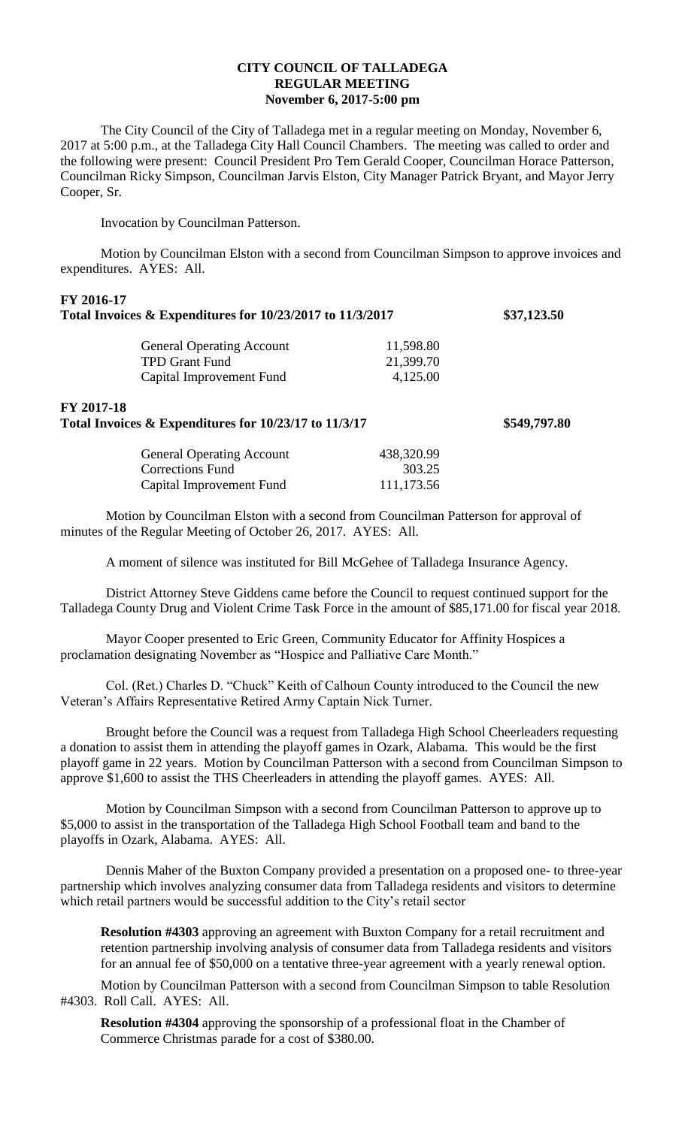## **CITY COUNCIL OF TALLADEGA REGULAR MEETING November 6, 2017-5:00 pm**

The City Council of the City of Talladega met in a regular meeting on Monday, November 6, 2017 at 5:00 p.m., at the Talladega City Hall Council Chambers. The meeting was called to order and the following were present: Council President Pro Tem Gerald Cooper, Councilman Horace Patterson, Councilman Ricky Simpson, Councilman Jarvis Elston, City Manager Patrick Bryant, and Mayor Jerry Cooper, Sr.

Invocation by Councilman Patterson.

Motion by Councilman Elston with a second from Councilman Simpson to approve invoices and expenditures. AYES: All.

| \$37,123.50  |
|--------------|
|              |
|              |
|              |
| \$549,797.80 |
|              |
|              |
|              |
|              |

Motion by Councilman Elston with a second from Councilman Patterson for approval of minutes of the Regular Meeting of October 26, 2017. AYES: All.

A moment of silence was instituted for Bill McGehee of Talladega Insurance Agency.

District Attorney Steve Giddens came before the Council to request continued support for the Talladega County Drug and Violent Crime Task Force in the amount of \$85,171.00 for fiscal year 2018.

Mayor Cooper presented to Eric Green, Community Educator for Affinity Hospices a proclamation designating November as "Hospice and Palliative Care Month."

Col. (Ret.) Charles D. "Chuck" Keith of Calhoun County introduced to the Council the new Veteran's Affairs Representative Retired Army Captain Nick Turner.

Brought before the Council was a request from Talladega High School Cheerleaders requesting a donation to assist them in attending the playoff games in Ozark, Alabama. This would be the first playoff game in 22 years. Motion by Councilman Patterson with a second from Councilman Simpson to approve \$1,600 to assist the THS Cheerleaders in attending the playoff games. AYES: All.

Motion by Councilman Simpson with a second from Councilman Patterson to approve up to \$5,000 to assist in the transportation of the Talladega High School Football team and band to the playoffs in Ozark, Alabama. AYES: All.

Dennis Maher of the Buxton Company provided a presentation on a proposed one- to three-year partnership which involves analyzing consumer data from Talladega residents and visitors to determine which retail partners would be successful addition to the City's retail sector

**Resolution #4303** approving an agreement with Buxton Company for a retail recruitment and retention partnership involving analysis of consumer data from Talladega residents and visitors for an annual fee of \$50,000 on a tentative three-year agreement with a yearly renewal option.

Motion by Councilman Patterson with a second from Councilman Simpson to table Resolution #4303. Roll Call. AYES: All.

**Resolution #4304** approving the sponsorship of a professional float in the Chamber of Commerce Christmas parade for a cost of \$380.00.